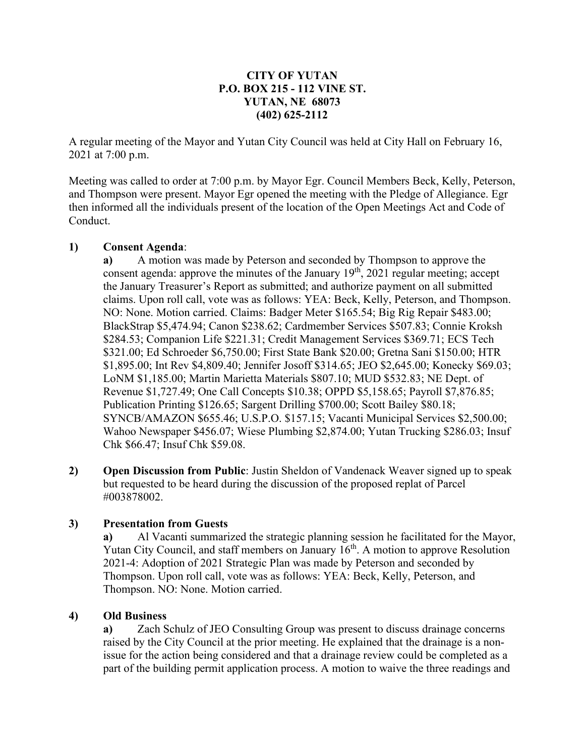# **CITY OF YUTAN P.O. BOX 215 - 112 VINE ST. YUTAN, NE 68073 (402) 625-2112**

A regular meeting of the Mayor and Yutan City Council was held at City Hall on February 16, 2021 at 7:00 p.m.

Meeting was called to order at 7:00 p.m. by Mayor Egr. Council Members Beck, Kelly, Peterson, and Thompson were present. Mayor Egr opened the meeting with the Pledge of Allegiance. Egr then informed all the individuals present of the location of the Open Meetings Act and Code of Conduct.

### **1) Consent Agenda**:

**a)** A motion was made by Peterson and seconded by Thompson to approve the consent agenda: approve the minutes of the January  $19<sup>th</sup>$ , 2021 regular meeting; accept the January Treasurer's Report as submitted; and authorize payment on all submitted claims. Upon roll call, vote was as follows: YEA: Beck, Kelly, Peterson, and Thompson. NO: None. Motion carried. Claims: Badger Meter \$165.54; Big Rig Repair \$483.00; BlackStrap \$5,474.94; Canon \$238.62; Cardmember Services \$507.83; Connie Kroksh \$284.53; Companion Life \$221.31; Credit Management Services \$369.71; ECS Tech \$321.00; Ed Schroeder \$6,750.00; First State Bank \$20.00; Gretna Sani \$150.00; HTR \$1,895.00; Int Rev \$4,809.40; Jennifer Josoff \$314.65; JEO \$2,645.00; Konecky \$69.03; LoNM \$1,185.00; Martin Marietta Materials \$807.10; MUD \$532.83; NE Dept. of Revenue \$1,727.49; One Call Concepts \$10.38; OPPD \$5,158.65; Payroll \$7,876.85; Publication Printing \$126.65; Sargent Drilling \$700.00; Scott Bailey \$80.18; SYNCB/AMAZON \$655.46; U.S.P.O. \$157.15; Vacanti Municipal Services \$2,500.00; Wahoo Newspaper \$456.07; Wiese Plumbing \$2,874.00; Yutan Trucking \$286.03; Insuf Chk \$66.47; Insuf Chk \$59.08.

**2) Open Discussion from Public**: Justin Sheldon of Vandenack Weaver signed up to speak but requested to be heard during the discussion of the proposed replat of Parcel #003878002.

#### **3) Presentation from Guests**

**a)** Al Vacanti summarized the strategic planning session he facilitated for the Mayor, Yutan City Council, and staff members on January  $16<sup>th</sup>$ . A motion to approve Resolution 2021-4: Adoption of 2021 Strategic Plan was made by Peterson and seconded by Thompson. Upon roll call, vote was as follows: YEA: Beck, Kelly, Peterson, and Thompson. NO: None. Motion carried.

#### **4) Old Business**

**a)** Zach Schulz of JEO Consulting Group was present to discuss drainage concerns raised by the City Council at the prior meeting. He explained that the drainage is a nonissue for the action being considered and that a drainage review could be completed as a part of the building permit application process. A motion to waive the three readings and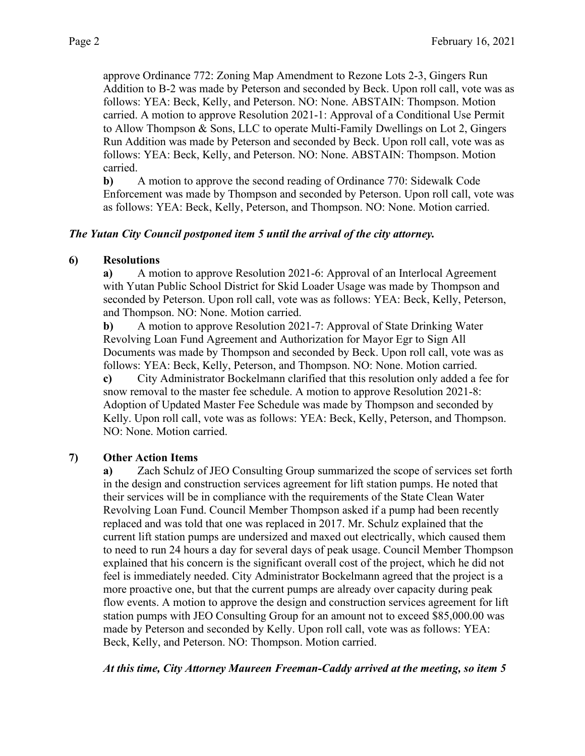approve Ordinance 772: Zoning Map Amendment to Rezone Lots 2-3, Gingers Run Addition to B-2 was made by Peterson and seconded by Beck. Upon roll call, vote was as follows: YEA: Beck, Kelly, and Peterson. NO: None. ABSTAIN: Thompson. Motion carried. A motion to approve Resolution 2021-1: Approval of a Conditional Use Permit to Allow Thompson & Sons, LLC to operate Multi-Family Dwellings on Lot 2, Gingers Run Addition was made by Peterson and seconded by Beck. Upon roll call, vote was as follows: YEA: Beck, Kelly, and Peterson. NO: None. ABSTAIN: Thompson. Motion carried.

**b)** A motion to approve the second reading of Ordinance 770: Sidewalk Code Enforcement was made by Thompson and seconded by Peterson. Upon roll call, vote was as follows: YEA: Beck, Kelly, Peterson, and Thompson. NO: None. Motion carried.

### *The Yutan City Council postponed item 5 until the arrival of the city attorney.*

### **6) Resolutions**

**a)** A motion to approve Resolution 2021-6: Approval of an Interlocal Agreement with Yutan Public School District for Skid Loader Usage was made by Thompson and seconded by Peterson. Upon roll call, vote was as follows: YEA: Beck, Kelly, Peterson, and Thompson. NO: None. Motion carried.

**b)** A motion to approve Resolution 2021-7: Approval of State Drinking Water Revolving Loan Fund Agreement and Authorization for Mayor Egr to Sign All Documents was made by Thompson and seconded by Beck. Upon roll call, vote was as follows: YEA: Beck, Kelly, Peterson, and Thompson. NO: None. Motion carried. **c)** City Administrator Bockelmann clarified that this resolution only added a fee for

snow removal to the master fee schedule. A motion to approve Resolution 2021-8: Adoption of Updated Master Fee Schedule was made by Thompson and seconded by Kelly. Upon roll call, vote was as follows: YEA: Beck, Kelly, Peterson, and Thompson. NO: None. Motion carried.

## **7) Other Action Items**

**a)** Zach Schulz of JEO Consulting Group summarized the scope of services set forth in the design and construction services agreement for lift station pumps. He noted that their services will be in compliance with the requirements of the State Clean Water Revolving Loan Fund. Council Member Thompson asked if a pump had been recently replaced and was told that one was replaced in 2017. Mr. Schulz explained that the current lift station pumps are undersized and maxed out electrically, which caused them to need to run 24 hours a day for several days of peak usage. Council Member Thompson explained that his concern is the significant overall cost of the project, which he did not feel is immediately needed. City Administrator Bockelmann agreed that the project is a more proactive one, but that the current pumps are already over capacity during peak flow events. A motion to approve the design and construction services agreement for lift station pumps with JEO Consulting Group for an amount not to exceed \$85,000.00 was made by Peterson and seconded by Kelly. Upon roll call, vote was as follows: YEA: Beck, Kelly, and Peterson. NO: Thompson. Motion carried.

*At this time, City Attorney Maureen Freeman-Caddy arrived at the meeting, so item 5*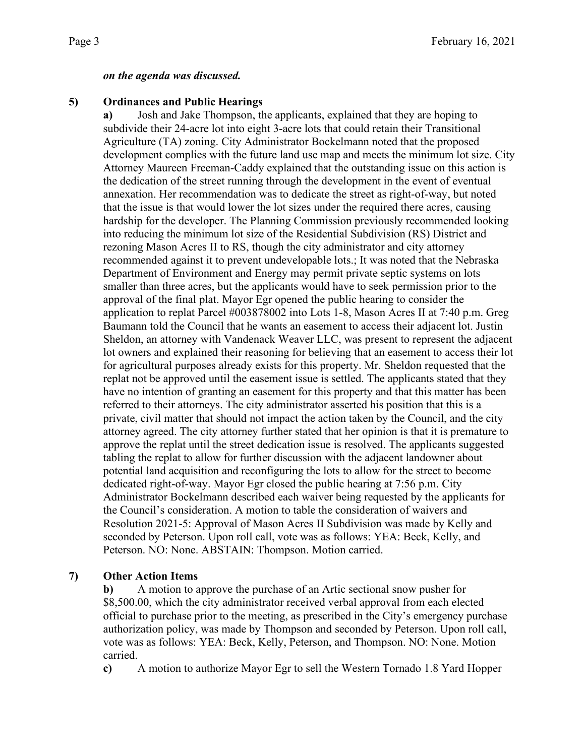### *on the agenda was discussed.*

# **5) Ordinances and Public Hearings**

**a)** Josh and Jake Thompson, the applicants, explained that they are hoping to subdivide their 24-acre lot into eight 3-acre lots that could retain their Transitional Agriculture (TA) zoning. City Administrator Bockelmann noted that the proposed development complies with the future land use map and meets the minimum lot size. City Attorney Maureen Freeman-Caddy explained that the outstanding issue on this action is the dedication of the street running through the development in the event of eventual annexation. Her recommendation was to dedicate the street as right-of-way, but noted that the issue is that would lower the lot sizes under the required there acres, causing hardship for the developer. The Planning Commission previously recommended looking into reducing the minimum lot size of the Residential Subdivision (RS) District and rezoning Mason Acres II to RS, though the city administrator and city attorney recommended against it to prevent undevelopable lots.; It was noted that the Nebraska Department of Environment and Energy may permit private septic systems on lots smaller than three acres, but the applicants would have to seek permission prior to the approval of the final plat. Mayor Egr opened the public hearing to consider the application to replat Parcel #003878002 into Lots 1-8, Mason Acres II at 7:40 p.m. Greg Baumann told the Council that he wants an easement to access their adjacent lot. Justin Sheldon, an attorney with Vandenack Weaver LLC, was present to represent the adjacent lot owners and explained their reasoning for believing that an easement to access their lot for agricultural purposes already exists for this property. Mr. Sheldon requested that the replat not be approved until the easement issue is settled. The applicants stated that they have no intention of granting an easement for this property and that this matter has been referred to their attorneys. The city administrator asserted his position that this is a private, civil matter that should not impact the action taken by the Council, and the city attorney agreed. The city attorney further stated that her opinion is that it is premature to approve the replat until the street dedication issue is resolved. The applicants suggested tabling the replat to allow for further discussion with the adjacent landowner about potential land acquisition and reconfiguring the lots to allow for the street to become dedicated right-of-way. Mayor Egr closed the public hearing at 7:56 p.m. City Administrator Bockelmann described each waiver being requested by the applicants for the Council's consideration. A motion to table the consideration of waivers and Resolution 2021-5: Approval of Mason Acres II Subdivision was made by Kelly and seconded by Peterson. Upon roll call, vote was as follows: YEA: Beck, Kelly, and Peterson. NO: None. ABSTAIN: Thompson. Motion carried.

## **7) Other Action Items**

**b)** A motion to approve the purchase of an Artic sectional snow pusher for \$8,500.00, which the city administrator received verbal approval from each elected official to purchase prior to the meeting, as prescribed in the City's emergency purchase authorization policy, was made by Thompson and seconded by Peterson. Upon roll call, vote was as follows: YEA: Beck, Kelly, Peterson, and Thompson. NO: None. Motion carried.

**c)** A motion to authorize Mayor Egr to sell the Western Tornado 1.8 Yard Hopper